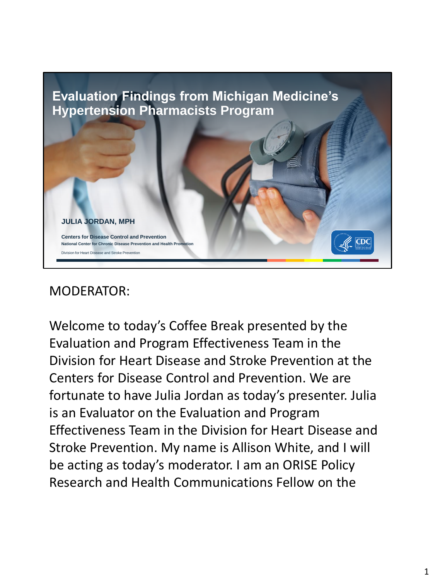

## MODERATOR:

Welcome to today's Coffee Break presented by the Evaluation and Program Effectiveness Team in the Division for Heart Disease and Stroke Prevention at the Centers for Disease Control and Prevention. We are fortunate to have Julia Jordan as today's presenter. Julia is an Evaluator on the Evaluation and Program Effectiveness Team in the Division for Heart Disease and Stroke Prevention. My name is Allison White, and I will be acting as today's moderator. I am an ORISE Policy Research and Health Communications Fellow on the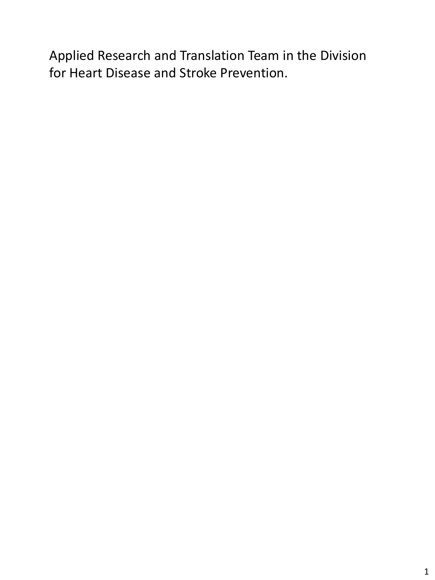Applied Research and Translation Team in the Division for Heart Disease and Stroke Prevention.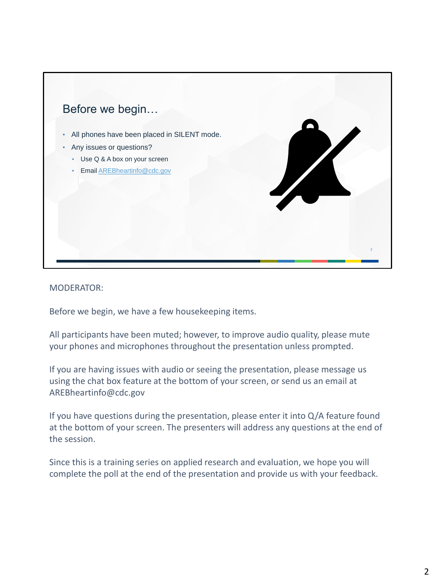

MODERATOR:

Before we begin, we have a few housekeeping items.

All participants have been muted; however, to improve audio quality, please mute your phones and microphones throughout the presentation unless prompted.

If you are having issues with audio or seeing the presentation, please message us using the chat box feature at the bottom of your screen, or send us an email at AREBheartinfo@cdc.gov

If you have questions during the presentation, please enter it into Q/A feature found at the bottom of your screen. The presenters will address any questions at the end of the session.

Since this is a training series on applied research and evaluation, we hope you will complete the poll at the end of the presentation and provide us with your feedback.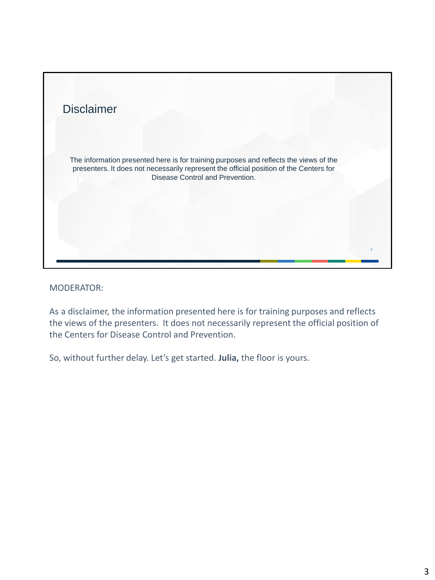

## MODERATOR:

As a disclaimer, the information presented here is for training purposes and reflects the views of the presenters. It does not necessarily represent the official position of the Centers for Disease Control and Prevention.

So, without further delay. Let's get started. **Julia,** the floor is yours.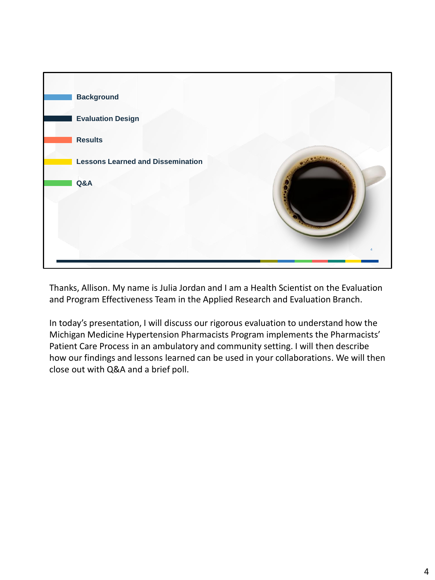

Thanks, Allison. My name is Julia Jordan and I am a Health Scientist on the Evaluation and Program Effectiveness Team in the Applied Research and Evaluation Branch.

In today's presentation, I will discuss our rigorous evaluation to understand how the Michigan Medicine Hypertension Pharmacists Program implements the Pharmacists' Patient Care Process in an ambulatory and community setting. I will then describe how our findings and lessons learned can be used in your collaborations. We will then close out with Q&A and a brief poll.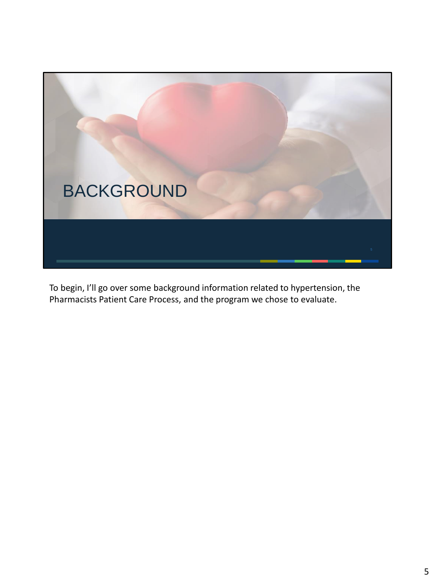

To begin, I'll go over some background information related to hypertension, the Pharmacists Patient Care Process, and the program we chose to evaluate.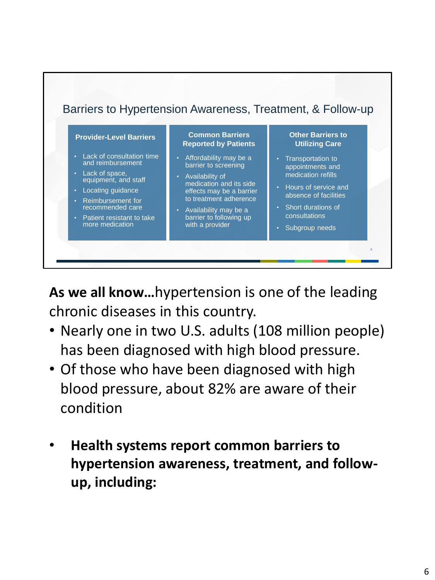

**As we all know…**hypertension is one of the leading chronic diseases in this country.

- Nearly one in two U.S. adults (108 million people) has been diagnosed with high blood pressure.
- Of those who have been diagnosed with high blood pressure, about 82% are aware of their condition
- **Health systems report common barriers to hypertension awareness, treatment, and followup, including:**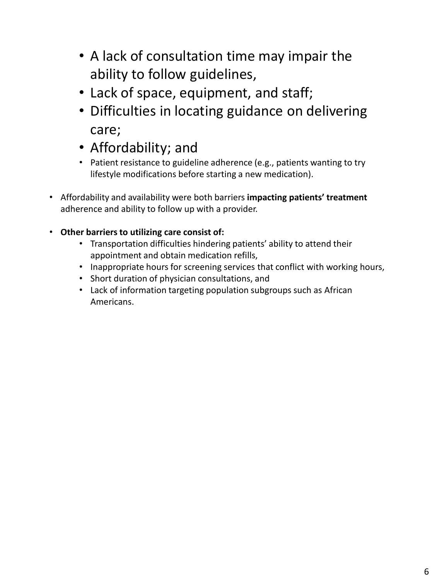- A lack of consultation time may impair the ability to follow guidelines,
- Lack of space, equipment, and staff;
- Difficulties in locating guidance on delivering care;
- Affordability; and
- Patient resistance to guideline adherence (e.g., patients wanting to try lifestyle modifications before starting a new medication).
- Affordability and availability were both barriers **impacting patients' treatment**  adherence and ability to follow up with a provider.
- **Other barriers to utilizing care consist of:**
	- Transportation difficulties hindering patients' ability to attend their appointment and obtain medication refills,
	- Inappropriate hours for screening services that conflict with working hours,
	- Short duration of physician consultations, and
	- Lack of information targeting population subgroups such as African Americans.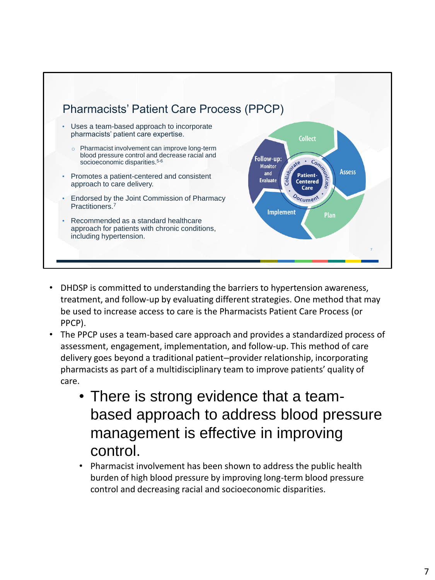

- DHDSP is committed to understanding the barriers to hypertension awareness, treatment, and follow-up by evaluating different strategies. One method that may be used to increase access to care is the Pharmacists Patient Care Process (or PPCP).
- The PPCP uses a team-based care approach and provides a standardized process of assessment, engagement, implementation, and follow-up. This method of care delivery goes beyond a traditional patient–provider relationship, incorporating pharmacists as part of a multidisciplinary team to improve patients' quality of care.
	- There is strong evidence that a teambased approach to address blood pressure management is effective in improving control.
	- Pharmacist involvement has been shown to address the public health burden of high blood pressure by improving long-term blood pressure control and decreasing racial and socioeconomic disparities.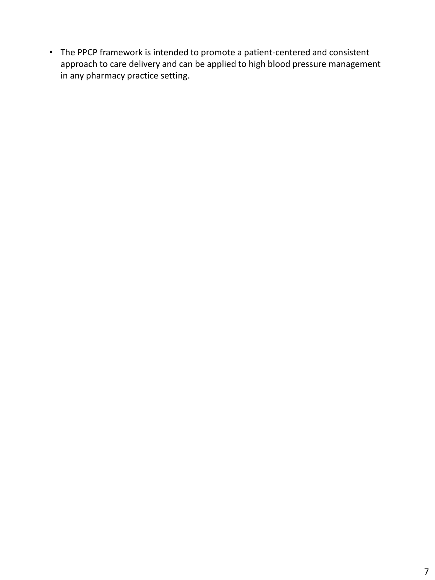• The PPCP framework is intended to promote a patient-centered and consistent approach to care delivery and can be applied to high blood pressure management in any pharmacy practice setting.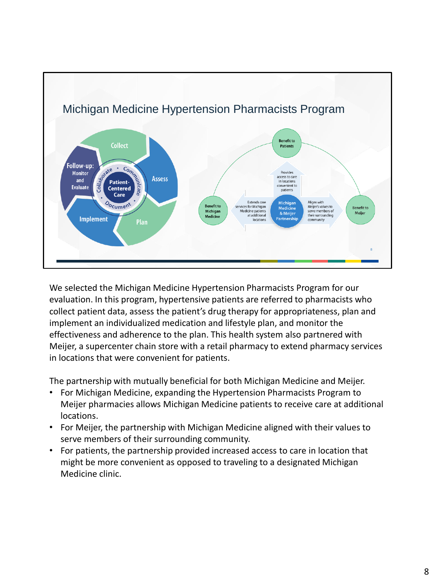

We selected the Michigan Medicine Hypertension Pharmacists Program for our evaluation. In this program, hypertensive patients are referred to pharmacists who collect patient data, assess the patient's drug therapy for appropriateness, plan and implement an individualized medication and lifestyle plan, and monitor the effectiveness and adherence to the plan. This health system also partnered with Meijer, a supercenter chain store with a retail pharmacy to extend pharmacy services in locations that were convenient for patients.

The partnership with mutually beneficial for both Michigan Medicine and Meijer.

- For Michigan Medicine, expanding the Hypertension Pharmacists Program to Meijer pharmacies allows Michigan Medicine patients to receive care at additional locations.
- For Meijer, the partnership with Michigan Medicine aligned with their values to serve members of their surrounding community.
- For patients, the partnership provided increased access to care in location that might be more convenient as opposed to traveling to a designated Michigan Medicine clinic.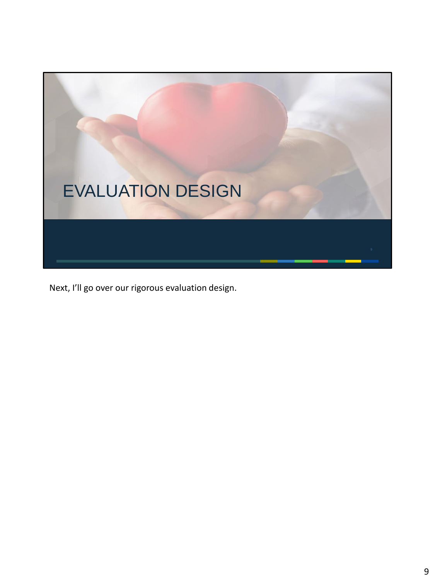

Next, I'll go over our rigorous evaluation design.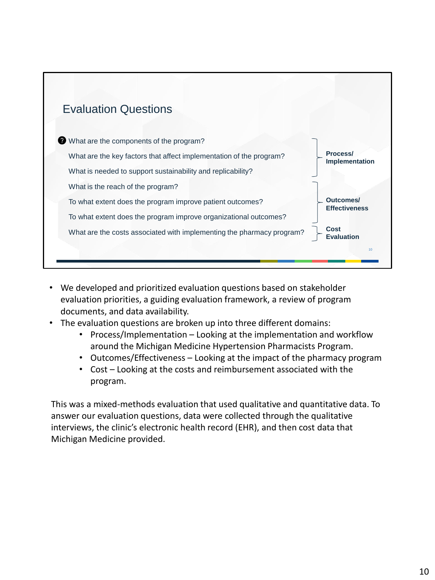

- We developed and prioritized evaluation questions based on stakeholder evaluation priorities, a guiding evaluation framework, a review of program documents, and data availability.
- The evaluation questions are broken up into three different domains:
	- Process/Implementation Looking at the implementation and workflow around the Michigan Medicine Hypertension Pharmacists Program.
	- Outcomes/Effectiveness Looking at the impact of the pharmacy program
	- Cost Looking at the costs and reimbursement associated with the program.

This was a mixed-methods evaluation that used qualitative and quantitative data. To answer our evaluation questions, data were collected through the qualitative interviews, the clinic's electronic health record (EHR), and then cost data that Michigan Medicine provided.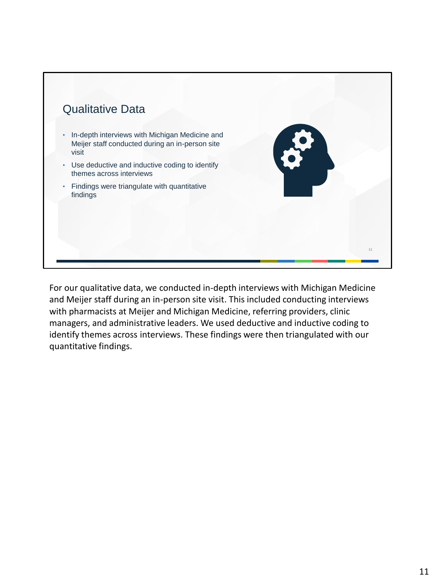

For our qualitative data, we conducted in-depth interviews with Michigan Medicine and Meijer staff during an in-person site visit. This included conducting interviews with pharmacists at Meijer and Michigan Medicine, referring providers, clinic managers, and administrative leaders. We used deductive and inductive coding to identify themes across interviews. These findings were then triangulated with our quantitative findings.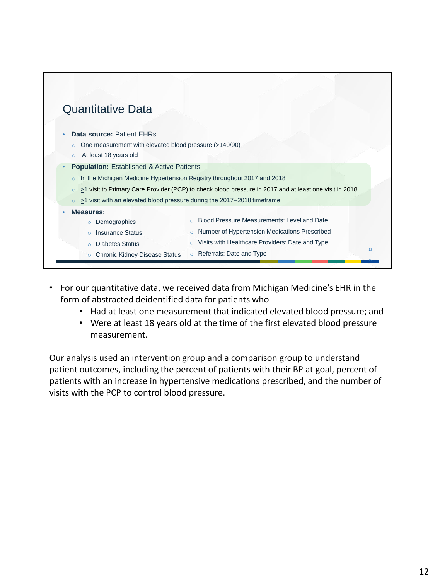

- For our quantitative data, we received data from Michigan Medicine's EHR in the form of abstracted deidentified data for patients who
	- Had at least one measurement that indicated elevated blood pressure; and
	- Were at least 18 years old at the time of the first elevated blood pressure measurement.

Our analysis used an intervention group and a comparison group to understand patient outcomes, including the percent of patients with their BP at goal, percent of patients with an increase in hypertensive medications prescribed, and the number of visits with the PCP to control blood pressure.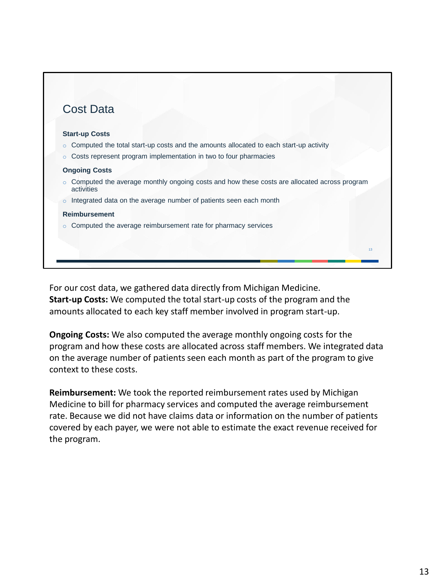

For our cost data, we gathered data directly from Michigan Medicine. **Start-up Costs:** We computed the total start-up costs of the program and the amounts allocated to each key staff member involved in program start-up.

**Ongoing Costs:** We also computed the average monthly ongoing costs for the program and how these costs are allocated across staff members. We integrated data on the average number of patients seen each month as part of the program to give context to these costs.

**Reimbursement:** We took the reported reimbursement rates used by Michigan Medicine to bill for pharmacy services and computed the average reimbursement rate. Because we did not have claims data or information on the number of patients covered by each payer, we were not able to estimate the exact revenue received for the program.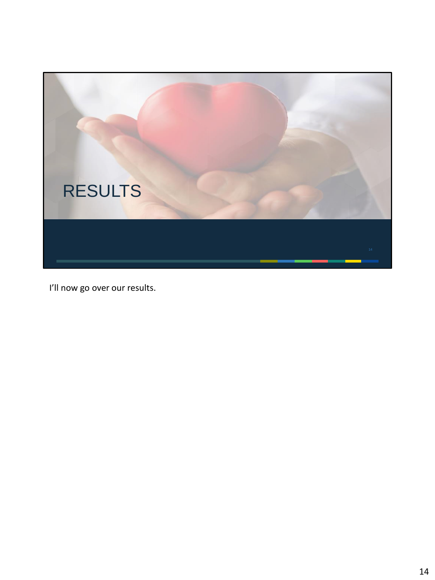

I'll now go over our results.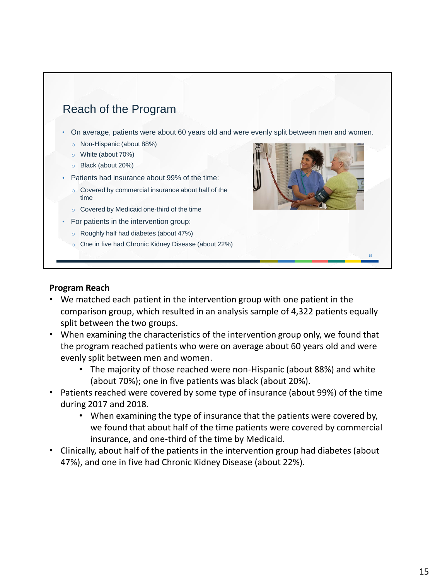

- o Covered by commercial insurance about half of the time
- o Covered by Medicaid one-third of the time
- For patients in the intervention group:
	- o Roughly half had diabetes (about 47%)
	- o One in five had Chronic Kidney Disease (about 22%)



## **Program Reach**

- We matched each patient in the intervention group with one patient in the comparison group, which resulted in an analysis sample of 4,322 patients equally split between the two groups.
- When examining the characteristics of the intervention group only, we found that the program reached patients who were on average about 60 years old and were evenly split between men and women.
	- The majority of those reached were non-Hispanic (about 88%) and white (about 70%); one in five patients was black (about 20%).
- Patients reached were covered by some type of insurance (about 99%) of the time during 2017 and 2018.
	- When examining the type of insurance that the patients were covered by, we found that about half of the time patients were covered by commercial insurance, and one-third of the time by Medicaid.
- Clinically, about half of the patients in the intervention group had diabetes (about 47%), and one in five had Chronic Kidney Disease (about 22%).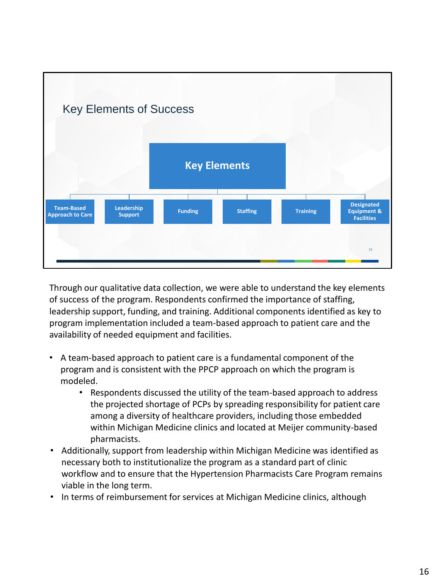

Through our qualitative data collection, we were able to understand the key elements of success of the program. Respondents confirmed the importance of staffing, leadership support, funding, and training. Additional components identified as key to program implementation included a team-based approach to patient care and the availability of needed equipment and facilities.

- A team-based approach to patient care is a fundamental component of the program and is consistent with the PPCP approach on which the program is modeled.
	- Respondents discussed the utility of the team-based approach to address the projected shortage of PCPs by spreading responsibility for patient care among a diversity of healthcare providers, including those embedded within Michigan Medicine clinics and located at Meijer community-based pharmacists.
- Additionally, support from leadership within Michigan Medicine was identified as necessary both to institutionalize the program as a standard part of clinic workflow and to ensure that the Hypertension Pharmacists Care Program remains viable in the long term.
- In terms of reimbursement for services at Michigan Medicine clinics, although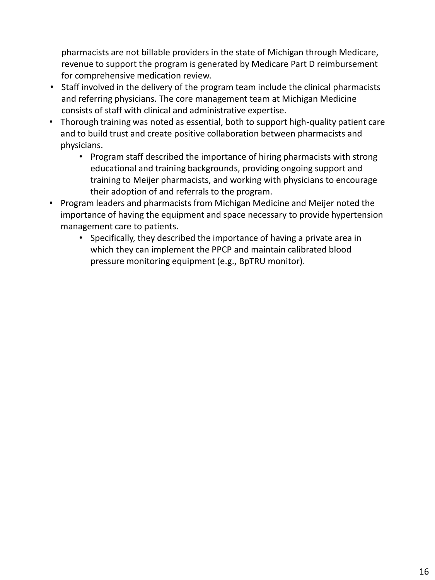pharmacists are not billable providers in the state of Michigan through Medicare, revenue to support the program is generated by Medicare Part D reimbursement for comprehensive medication review.

- Staff involved in the delivery of the program team include the clinical pharmacists and referring physicians. The core management team at Michigan Medicine consists of staff with clinical and administrative expertise.
- Thorough training was noted as essential, both to support high-quality patient care and to build trust and create positive collaboration between pharmacists and physicians.
	- Program staff described the importance of hiring pharmacists with strong educational and training backgrounds, providing ongoing support and training to Meijer pharmacists, and working with physicians to encourage their adoption of and referrals to the program.
- Program leaders and pharmacists from Michigan Medicine and Meijer noted the importance of having the equipment and space necessary to provide hypertension management care to patients.
	- Specifically, they described the importance of having a private area in which they can implement the PPCP and maintain calibrated blood pressure monitoring equipment (e.g., BpTRU monitor).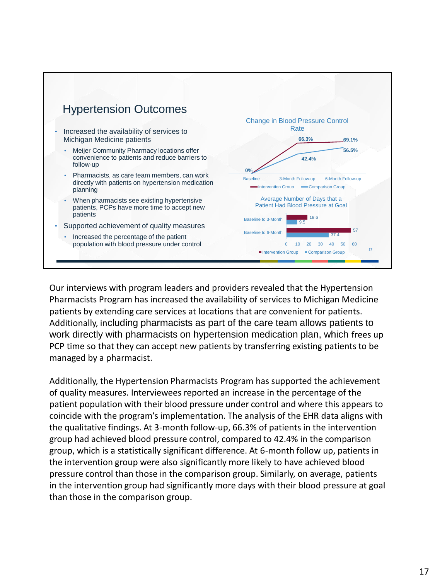

Our interviews with program leaders and providers revealed that the Hypertension Pharmacists Program has increased the availability of services to Michigan Medicine patients by extending care services at locations that are convenient for patients. Additionally, including pharmacists as part of the care team allows patients to work directly with pharmacists on hypertension medication plan, which frees up PCP time so that they can accept new patients by transferring existing patients to be managed by a pharmacist.

Additionally, the Hypertension Pharmacists Program has supported the achievement of quality measures. Interviewees reported an increase in the percentage of the patient population with their blood pressure under control and where this appears to coincide with the program's implementation. The analysis of the EHR data aligns with the qualitative findings. At 3-month follow-up, 66.3% of patients in the intervention group had achieved blood pressure control, compared to 42.4% in the comparison group, which is a statistically significant difference. At 6-month follow up, patients in the intervention group were also significantly more likely to have achieved blood pressure control than those in the comparison group. Similarly, on average, patients in the intervention group had significantly more days with their blood pressure at goal than those in the comparison group.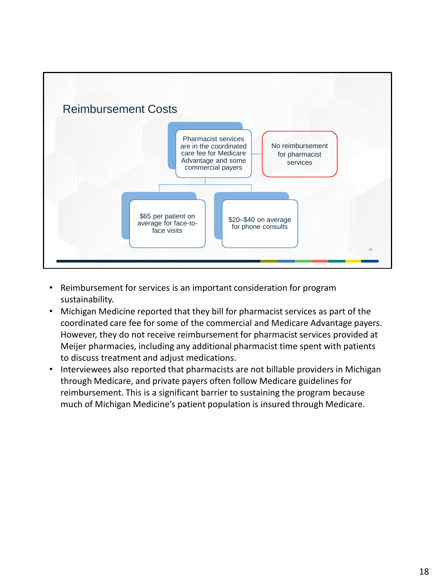

- Reimbursement for services is an important consideration for program sustainability.
- Michigan Medicine reported that they bill for pharmacist services as part of the coordinated care fee for some of the commercial and Medicare Advantage payers. However, they do not receive reimbursement for pharmacist services provided at Meijer pharmacies, including any additional pharmacist time spent with patients to discuss treatment and adjust medications.
- Interviewees also reported that pharmacists are not billable providers in Michigan through Medicare, and private payers often follow Medicare guidelines for reimbursement. This is a significant barrier to sustaining the program because much of Michigan Medicine's patient population is insured through Medicare.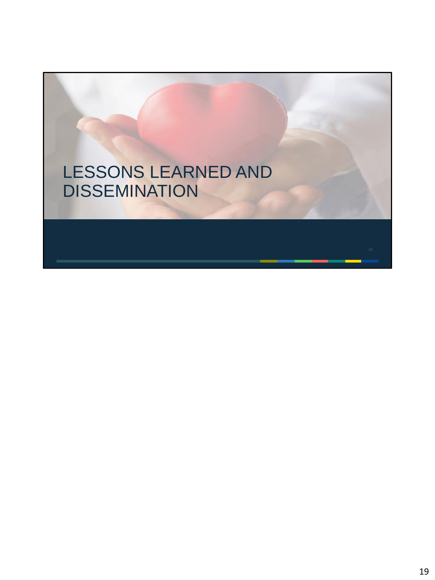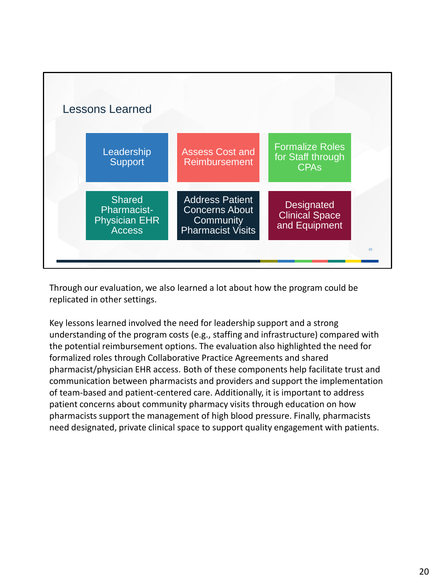

Through our evaluation, we also learned a lot about how the program could be replicated in other settings.

Key lessons learned involved the need for leadership support and a strong understanding of the program costs (e.g., staffing and infrastructure) compared with the potential reimbursement options. The evaluation also highlighted the need for formalized roles through Collaborative Practice Agreements and shared pharmacist/physician EHR access. Both of these components help facilitate trust and communication between pharmacists and providers and support the implementation of team-based and patient-centered care. Additionally, it is important to address patient concerns about community pharmacy visits through education on how pharmacists support the management of high blood pressure. Finally, pharmacists need designated, private clinical space to support quality engagement with patients.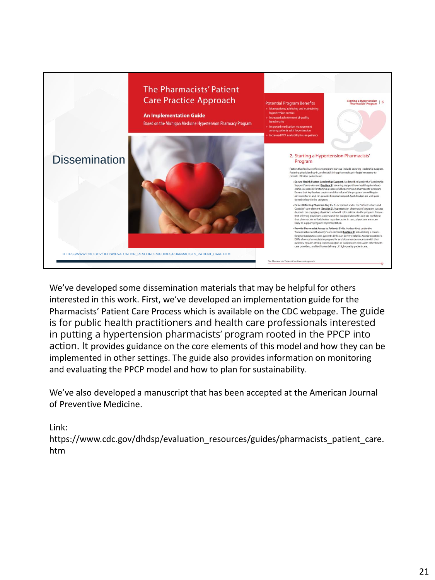

We've developed some dissemination materials that may be helpful for others interested in this work. First, we've developed an implementation guide for the Pharmacists' Patient Care Process which is available on the CDC webpage. The guide is for public health practitioners and health care professionals interested in putting a hypertension pharmacists' program rooted in the PPCP into action. It provides guidance on the core elements of this model and how they can be implemented in other settings. The guide also provides information on monitoring and evaluating the PPCP model and how to plan for sustainability.

We've also developed a manuscript that has been accepted at the American Journal of Preventive Medicine.

Link:

https://www.cdc.gov/dhdsp/evaluation\_resources/guides/pharmacists\_patient\_care. htm